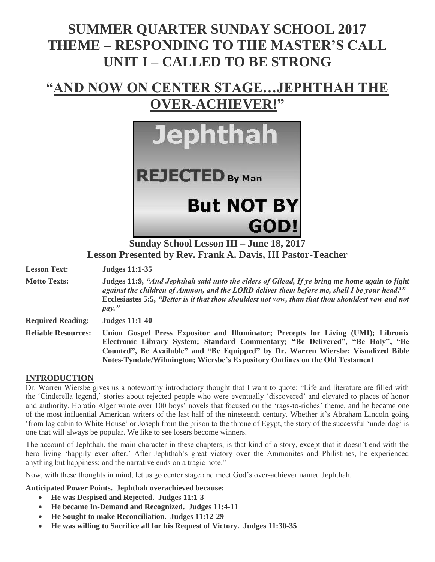# **SUMMER QUARTER SUNDAY SCHOOL 2017 THEME – RESPONDING TO THE MASTER'S CALL UNIT I – CALLED TO BE STRONG**

## **"AND NOW ON CENTER STAGE…JEPHTHAH THE OVER-ACHIEVER!"**



**Sunday School Lesson III – June 18, 2017 Lesson Presented by Rev. Frank A. Davis, III Pastor-Teacher**

**Lesson Text: Judges 11:1-35**

**Motto Texts: Judges 11:9,** *"And Jephthah said unto the elders of Gilead, If ye bring me home again to fight against the children of Ammon, and the LORD deliver them before me, shall I be your head?"* **Ecclesiastes 5:5,** *"Better is it that thou shouldest not vow, than that thou shouldest vow and not pay."*

**Required Reading: Judges 11:1-40** 

**Reliable Resources: Union Gospel Press Expositor and Illuminator; Precepts for Living (UMI); Libronix Electronic Library System; Standard Commentary; "Be Delivered", "Be Holy", "Be Counted", Be Available" and "Be Equipped" by Dr. Warren Wiersbe; Visualized Bible Notes-Tyndale/Wilmington; Wiersbe's Expository Outlines on the Old Testament**

#### **INTRODUCTION**

Dr. Warren Wiersbe gives us a noteworthy introductory thought that I want to quote: "Life and literature are filled with the 'Cinderella legend,' stories about rejected people who were eventually 'discovered' and elevated to places of honor and authority. Horatio Alger wrote over 100 boys' novels that focused on the 'rags-to-riches' theme, and he became one of the most influential American writers of the last half of the nineteenth century. Whether it's Abraham Lincoln going 'from log cabin to White House' or Joseph from the prison to the throne of Egypt, the story of the successful 'underdog' is one that will always be popular. We like to see losers become winners.

The account of Jephthah, the main character in these chapters, is that kind of a story, except that it doesn't end with the hero living 'happily ever after.' After Jephthah's great victory over the Ammonites and Philistines, he experienced anything but happiness; and the narrative ends on a tragic note."

Now, with these thoughts in mind, let us go center stage and meet God's over-achiever named Jephthah.

**Anticipated Power Points. Jephthah overachieved because:**

- **He was Despised and Rejected. Judges 11:1-3**
- **He became In-Demand and Recognized. Judges 11:4-11**
- **He Sought to make Reconciliation. Judges 11:12-29**
- **He was willing to Sacrifice all for his Request of Victory. Judges 11:30-35**